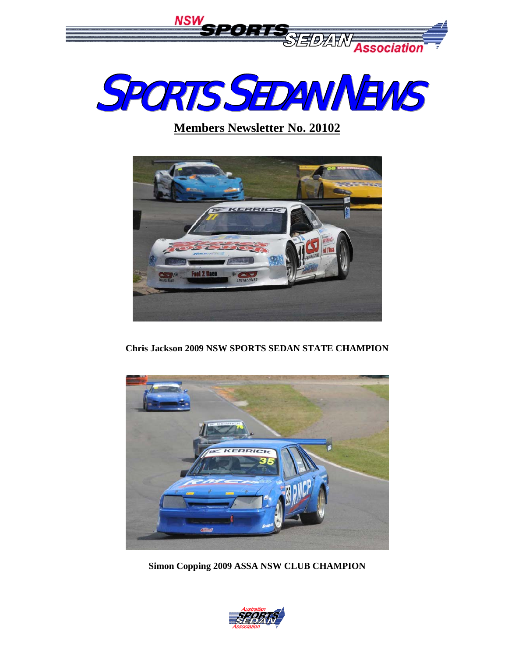



**Members Newsletter No. 20102**



**Chris Jackson 2009 NSW SPORTS SEDAN STATE CHAMPION** 



**Simon Copping 2009 ASSA NSW CLUB CHAMPION** 

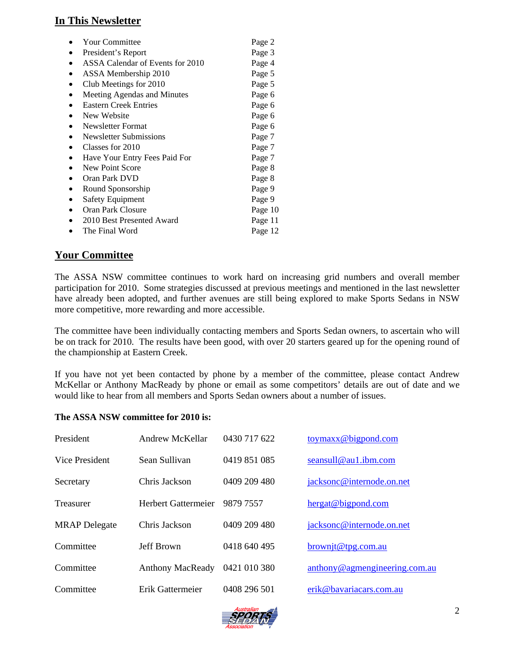## **In This Newsletter**

| <b>Your Committee</b>            | Page 2  |
|----------------------------------|---------|
| President's Report               | Page 3  |
| ASSA Calendar of Events for 2010 | Page 4  |
| ASSA Membership 2010             | Page 5  |
| Club Meetings for 2010           | Page 5  |
| Meeting Agendas and Minutes      | Page 6  |
| <b>Eastern Creek Entries</b>     | Page 6  |
| New Website                      | Page 6  |
| <b>Newsletter Format</b>         | Page 6  |
| Newsletter Submissions           | Page 7  |
| Classes for 2010                 | Page 7  |
| Have Your Entry Fees Paid For    | Page 7  |
| New Point Score                  | Page 8  |
| Oran Park DVD                    | Page 8  |
| Round Sponsorship                | Page 9  |
| <b>Safety Equipment</b>          | Page 9  |
| Oran Park Closure                | Page 10 |
| 2010 Best Presented Award        | Page 11 |
| The Final Word                   | Page 12 |

### **Your Committee**

The ASSA NSW committee continues to work hard on increasing grid numbers and overall member participation for 2010. Some strategies discussed at previous meetings and mentioned in the last newsletter have already been adopted, and further avenues are still being explored to make Sports Sedans in NSW more competitive, more rewarding and more accessible.

The committee have been individually contacting members and Sports Sedan owners, to ascertain who will be on track for 2010. The results have been good, with over 20 starters geared up for the opening round of the championship at Eastern Creek.

If you have not yet been contacted by phone by a member of the committee, please contact Andrew McKellar or Anthony MacReady by phone or email as some competitors' details are out of date and we would like to hear from all members and Sports Sedan owners about a number of issues.

#### **The ASSA NSW committee for 2010 is:**

| President             | Andrew McKellar            | 0430 717 622 | $toymax$ @ bigpond.com        |
|-----------------------|----------------------------|--------------|-------------------------------|
| <b>Vice President</b> | Sean Sullivan              | 0419 851 085 | seansull@au1.ibm.com          |
| Secretary             | Chris Jackson              | 0409 209 480 | jacksonc@internode.on.net     |
| <b>Treasurer</b>      | <b>Herbert Gattermeier</b> | 9879 7557    | hergat@bigpond.com            |
| <b>MRAP</b> Delegate  | Chris Jackson              | 0409 209 480 | jacksonc@internode.on.net     |
| Committee             | Jeff Brown                 | 0418 640 495 | brownit@tpg.com.au            |
| Committee             | <b>Anthony MacReady</b>    | 0421 010 380 | anthony@agmengineering.com.au |
| Committee             | Erik Gattermeier           | 0408 296 501 | erik@bavariacars.com.au       |

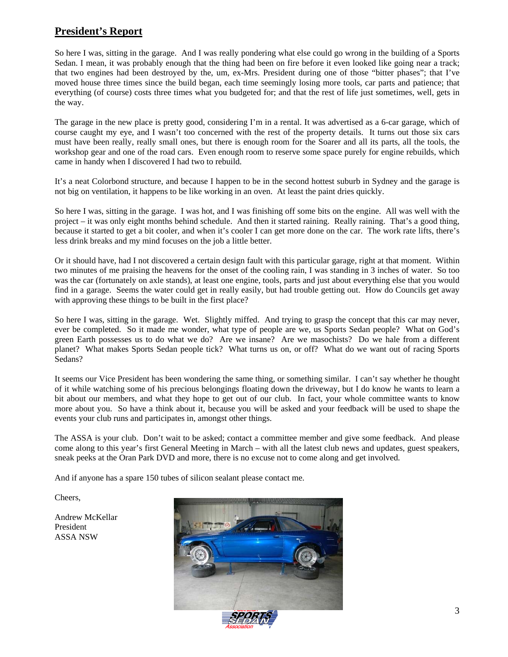## **President's Report**

So here I was, sitting in the garage. And I was really pondering what else could go wrong in the building of a Sports Sedan. I mean, it was probably enough that the thing had been on fire before it even looked like going near a track; that two engines had been destroyed by the, um, ex-Mrs. President during one of those "bitter phases"; that I've moved house three times since the build began, each time seemingly losing more tools, car parts and patience; that everything (of course) costs three times what you budgeted for; and that the rest of life just sometimes, well, gets in the way.

The garage in the new place is pretty good, considering I'm in a rental. It was advertised as a 6-car garage, which of course caught my eye, and I wasn't too concerned with the rest of the property details. It turns out those six cars must have been really, really small ones, but there is enough room for the Soarer and all its parts, all the tools, the workshop gear and one of the road cars. Even enough room to reserve some space purely for engine rebuilds, which came in handy when I discovered I had two to rebuild.

It's a neat Colorbond structure, and because I happen to be in the second hottest suburb in Sydney and the garage is not big on ventilation, it happens to be like working in an oven. At least the paint dries quickly.

So here I was, sitting in the garage. I was hot, and I was finishing off some bits on the engine. All was well with the project – it was only eight months behind schedule. And then it started raining. Really raining. That's a good thing, because it started to get a bit cooler, and when it's cooler I can get more done on the car. The work rate lifts, there's less drink breaks and my mind focuses on the job a little better.

Or it should have, had I not discovered a certain design fault with this particular garage, right at that moment. Within two minutes of me praising the heavens for the onset of the cooling rain, I was standing in 3 inches of water. So too was the car (fortunately on axle stands), at least one engine, tools, parts and just about everything else that you would find in a garage. Seems the water could get in really easily, but had trouble getting out. How do Councils get away with approving these things to be built in the first place?

So here I was, sitting in the garage. Wet. Slightly miffed. And trying to grasp the concept that this car may never, ever be completed. So it made me wonder, what type of people are we, us Sports Sedan people? What on God's green Earth possesses us to do what we do? Are we insane? Are we masochists? Do we hale from a different planet? What makes Sports Sedan people tick? What turns us on, or off? What do we want out of racing Sports Sedans?

It seems our Vice President has been wondering the same thing, or something similar. I can't say whether he thought of it while watching some of his precious belongings floating down the driveway, but I do know he wants to learn a bit about our members, and what they hope to get out of our club. In fact, your whole committee wants to know more about you. So have a think about it, because you will be asked and your feedback will be used to shape the events your club runs and participates in, amongst other things.

The ASSA is your club. Don't wait to be asked; contact a committee member and give some feedback. And please come along to this year's first General Meeting in March – with all the latest club news and updates, guest speakers, sneak peeks at the Oran Park DVD and more, there is no excuse not to come along and get involved.

And if anyone has a spare 150 tubes of silicon sealant please contact me.

Cheers,

Andrew McKellar President ASSA NSW

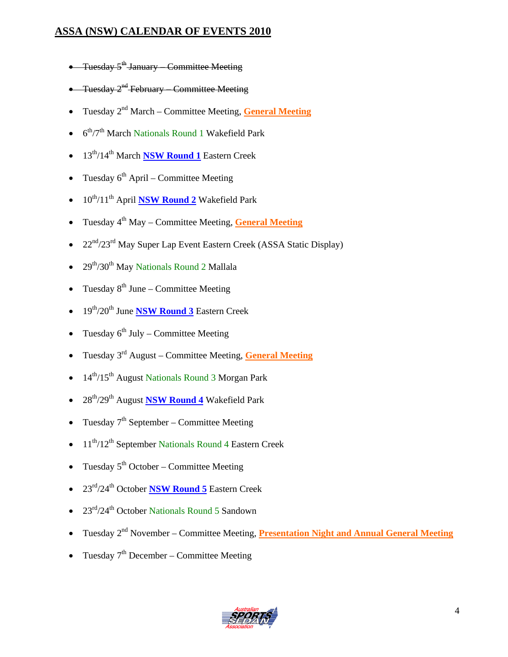## **ASSA (NSW) CALENDAR OF EVENTS 2010**

- Tuesday  $5^{\text{th}}$  January Committee Meeting
- Tuesday 2<sup>nd</sup> February Committee Meeting
- Tuesday 2nd March Committee Meeting, **General Meeting**
- $6<sup>th</sup>/7<sup>th</sup>$  March Nationals Round 1 Wakefield Park
- 13th/14th March **NSW Round 1** Eastern Creek
- Tuesday  $6<sup>th</sup>$  April Committee Meeting
- 10<sup>th</sup>/11<sup>th</sup> April **NSW Round 2** Wakefield Park
- Tuesday 4th May Committee Meeting, **General Meeting**
- $22<sup>nd</sup>/23<sup>rd</sup>$  May Super Lap Event Eastern Creek (ASSA Static Display)
- $29<sup>th</sup>/30<sup>th</sup>$  May Nationals Round 2 Mallala
- Tuesday  $8^{th}$  June Committee Meeting
- 19th/20th June **NSW Round 3** Eastern Creek
- Tuesday  $6^{th}$  July Committee Meeting
- Tuesday 3rd August Committee Meeting, **General Meeting**
- 14<sup>th</sup>/15<sup>th</sup> August Nationals Round 3 Morgan Park
- 28th/29th August **NSW Round 4** Wakefield Park
- Tuesday  $7<sup>th</sup>$  September Committee Meeting
- $11^{th}/12^{th}$  September Nationals Round 4 Eastern Creek
- Tuesday  $5<sup>th</sup> October Committee Meeting$
- 23rd/24th October **NSW Round 5** Eastern Creek
- $23^{\text{rd}}/24^{\text{th}}$  October Nationals Round 5 Sandown
- Tuesday 2<sup>nd</sup> November Committee Meeting, **Presentation Night and Annual General Meeting**
- Tuesday  $7<sup>th</sup>$  December Committee Meeting

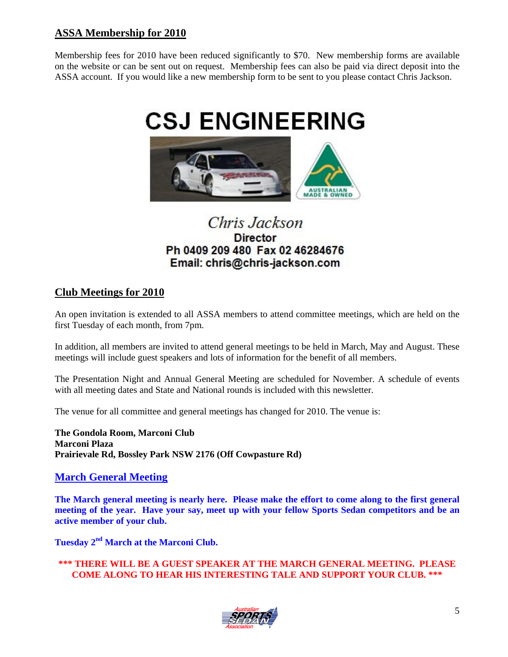## **ASSA Membership for 2010**

Membership fees for 2010 have been reduced significantly to \$70. New membership forms are available on the website or can be sent out on request. Membership fees can also be paid via direct deposit into the ASSA account. If you would like a new membership form to be sent to you please contact Chris Jackson.



# Chris Jackson **Director** Ph 0409 209 480 Fax 02 46284676 Email: chris@chris-jackson.com

## **Club Meetings for 2010**

An open invitation is extended to all ASSA members to attend committee meetings, which are held on the first Tuesday of each month, from 7pm.

In addition, all members are invited to attend general meetings to be held in March, May and August. These meetings will include guest speakers and lots of information for the benefit of all members.

The Presentation Night and Annual General Meeting are scheduled for November. A schedule of events with all meeting dates and State and National rounds is included with this newsletter.

The venue for all committee and general meetings has changed for 2010. The venue is:

**The Gondola Room, Marconi Club Marconi Plaza Prairievale Rd, Bossley Park NSW 2176 (Off Cowpasture Rd)**

### **March General Meeting**

**The March general meeting is nearly here. Please make the effort to come along to the first general meeting of the year. Have your say, meet up with your fellow Sports Sedan competitors and be an active member of your club.** 

**Tuesday 2nd March at the Marconi Club.** 

**\*\*\* THERE WILL BE A GUEST SPEAKER AT THE MARCH GENERAL MEETING. PLEASE COME ALONG TO HEAR HIS INTERESTING TALE AND SUPPORT YOUR CLUB. \*\*\*** 

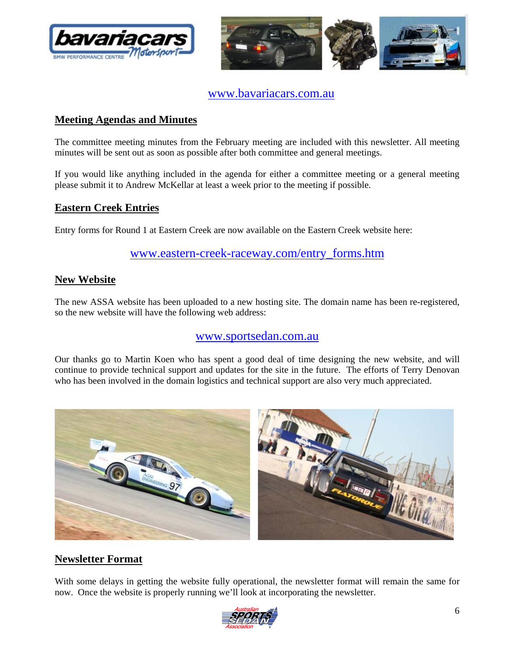



www.bavariacars.com.au

## **Meeting Agendas and Minutes**

The committee meeting minutes from the February meeting are included with this newsletter. All meeting minutes will be sent out as soon as possible after both committee and general meetings.

If you would like anything included in the agenda for either a committee meeting or a general meeting please submit it to Andrew McKellar at least a week prior to the meeting if possible.

### **Eastern Creek Entries**

Entry forms for Round 1 at Eastern Creek are now available on the Eastern Creek website here:

## www.eastern-creek-raceway.com/entry\_forms.htm

### **New Website**

The new ASSA website has been uploaded to a new hosting site. The domain name has been re-registered, so the new website will have the following web address:

## www.sportsedan.com.au

Our thanks go to Martin Koen who has spent a good deal of time designing the new website, and will continue to provide technical support and updates for the site in the future. The efforts of Terry Denovan who has been involved in the domain logistics and technical support are also very much appreciated.



## **Newsletter Format**

With some delays in getting the website fully operational, the newsletter format will remain the same for now. Once the website is properly running we'll look at incorporating the newsletter.

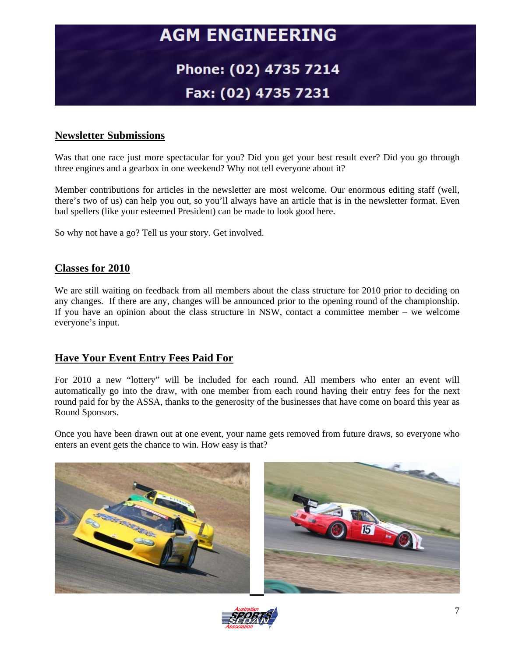# **AGM ENGINEERING**

# Phone: (02) 4735 7214 Fax: (02) 4735 7231

## **Newsletter Submissions**

Was that one race just more spectacular for you? Did you get your best result ever? Did you go through three engines and a gearbox in one weekend? Why not tell everyone about it?

Member contributions for articles in the newsletter are most welcome. Our enormous editing staff (well, there's two of us) can help you out, so you'll always have an article that is in the newsletter format. Even bad spellers (like your esteemed President) can be made to look good here.

So why not have a go? Tell us your story. Get involved.

### **Classes for 2010**

We are still waiting on feedback from all members about the class structure for 2010 prior to deciding on any changes. If there are any, changes will be announced prior to the opening round of the championship. If you have an opinion about the class structure in NSW, contact a committee member – we welcome everyone's input.

### **Have Your Event Entry Fees Paid For**

For 2010 a new "lottery" will be included for each round. All members who enter an event will automatically go into the draw, with one member from each round having their entry fees for the next round paid for by the ASSA, thanks to the generosity of the businesses that have come on board this year as Round Sponsors.

Once you have been drawn out at one event, your name gets removed from future draws, so everyone who enters an event gets the chance to win. How easy is that?



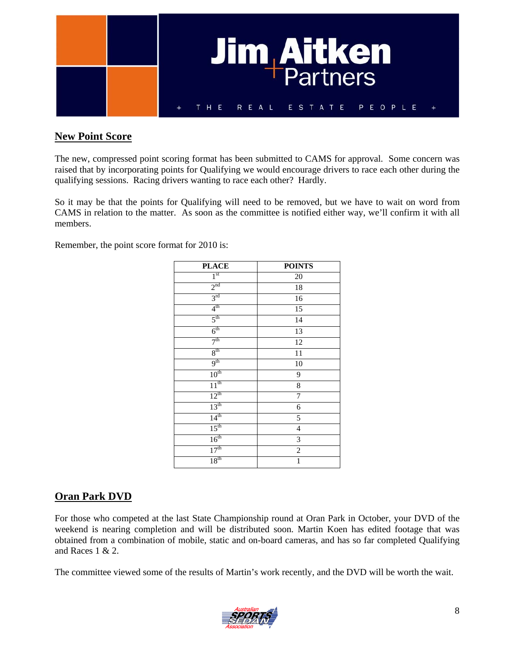

## **New Point Score**

The new, compressed point scoring format has been submitted to CAMS for approval. Some concern was raised that by incorporating points for Qualifying we would encourage drivers to race each other during the qualifying sessions. Racing drivers wanting to race each other? Hardly.

So it may be that the points for Qualifying will need to be removed, but we have to wait on word from CAMS in relation to the matter. As soon as the committee is notified either way, we'll confirm it with all members.

Remember, the point score format for 2010 is:

| <b>PLACE</b>     | <b>POINTS</b>  |
|------------------|----------------|
| 1 <sup>st</sup>  | 20             |
| 2 <sup>nd</sup>  | $18\,$         |
| $3^{\text{rd}}$  | 16             |
| 4 <sup>th</sup>  | 15             |
| $5^{\text{th}}$  | 14             |
| $6^{\text{th}}$  | 13             |
| 7 <sup>th</sup>  | 12             |
| 8 <sup>th</sup>  | $11\,$         |
| 9 <sup>th</sup>  | 10             |
| $10^{\rm th}$    | 9              |
| $11^{th}$        | 8              |
| $12^{th}$        | 7              |
| 13 <sup>th</sup> | 6              |
| 14 <sup>th</sup> | 5              |
| 15 <sup>th</sup> | $\overline{4}$ |
| 16 <sup>th</sup> | $\overline{3}$ |
| 17 <sup>th</sup> | $\overline{2}$ |
| 18 <sup>th</sup> | $\mathbf{1}$   |

## **Oran Park DVD**

For those who competed at the last State Championship round at Oran Park in October, your DVD of the weekend is nearing completion and will be distributed soon. Martin Koen has edited footage that was obtained from a combination of mobile, static and on-board cameras, and has so far completed Qualifying and Races 1 & 2.

The committee viewed some of the results of Martin's work recently, and the DVD will be worth the wait.

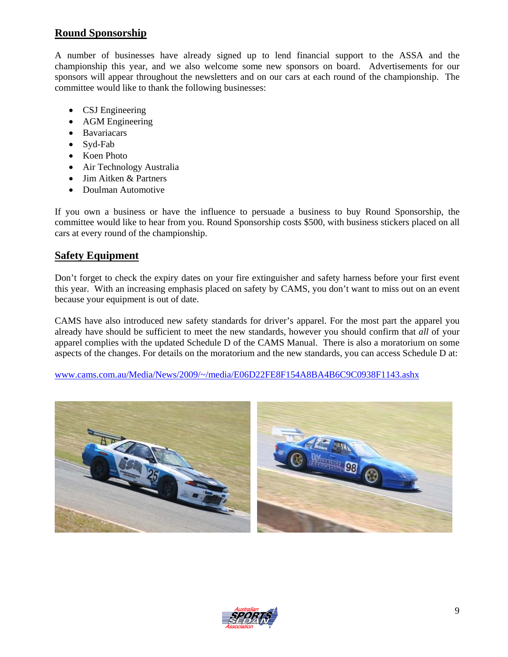## **Round Sponsorship**

A number of businesses have already signed up to lend financial support to the ASSA and the championship this year, and we also welcome some new sponsors on board. Advertisements for our sponsors will appear throughout the newsletters and on our cars at each round of the championship. The committee would like to thank the following businesses:

- CSJ Engineering
- AGM Engineering
- Bavariacars
- Syd-Fab
- Koen Photo
- Air Technology Australia
- Jim Aitken & Partners
- Doulman Automotive

If you own a business or have the influence to persuade a business to buy Round Sponsorship, the committee would like to hear from you. Round Sponsorship costs \$500, with business stickers placed on all cars at every round of the championship.

### **Safety Equipment**

Don't forget to check the expiry dates on your fire extinguisher and safety harness before your first event this year. With an increasing emphasis placed on safety by CAMS, you don't want to miss out on an event because your equipment is out of date.

CAMS have also introduced new safety standards for driver's apparel. For the most part the apparel you already have should be sufficient to meet the new standards, however you should confirm that *all* of your apparel complies with the updated Schedule D of the CAMS Manual. There is also a moratorium on some aspects of the changes. For details on the moratorium and the new standards, you can access Schedule D at:

www.cams.com.au/Media/News/2009/~/media/E06D22FE8F154A8BA4B6C9C0938F1143.ashx



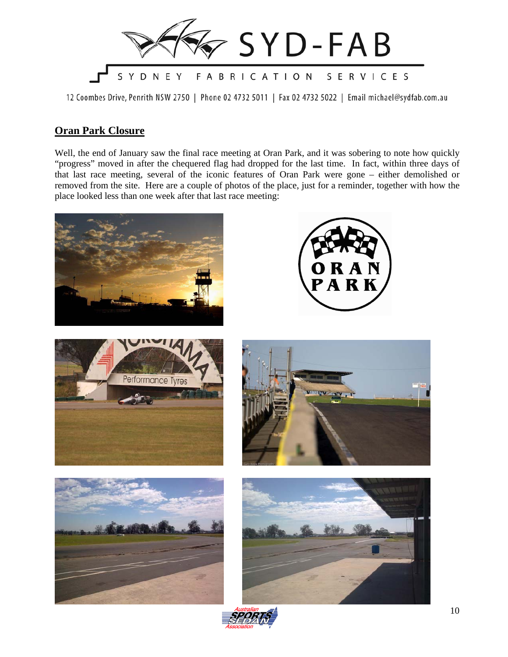

12 Coombes Drive, Penrith NSW 2750 | Phone 02 4732 5011 | Fax 02 4732 5022 | Email michael@sydfab.com.au

### **Oran Park Closure**

Well, the end of January saw the final race meeting at Oran Park, and it was sobering to note how quickly "progress" moved in after the chequered flag had dropped for the last time. In fact, within three days of that last race meeting, several of the iconic features of Oran Park were gone – either demolished or removed from the site. Here are a couple of photos of the place, just for a reminder, together with how the place looked less than one week after that last race meeting:



10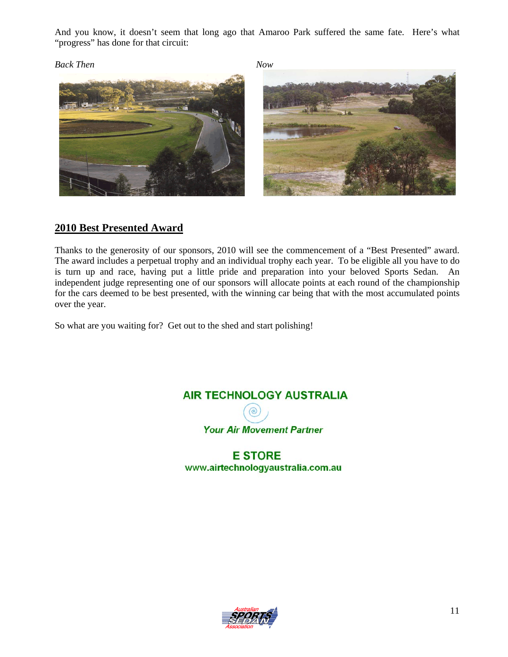And you know, it doesn't seem that long ago that Amaroo Park suffered the same fate. Here's what "progress" has done for that circuit:

### *Back Then Now*





## **2010 Best Presented Award**

Thanks to the generosity of our sponsors, 2010 will see the commencement of a "Best Presented" award. The award includes a perpetual trophy and an individual trophy each year. To be eligible all you have to do is turn up and race, having put a little pride and preparation into your beloved Sports Sedan. An independent judge representing one of our sponsors will allocate points at each round of the championship for the cars deemed to be best presented, with the winning car being that with the most accumulated points over the year.

So what are you waiting for? Get out to the shed and start polishing!





**E STORE** www.airtechnologyaustralia.com.au